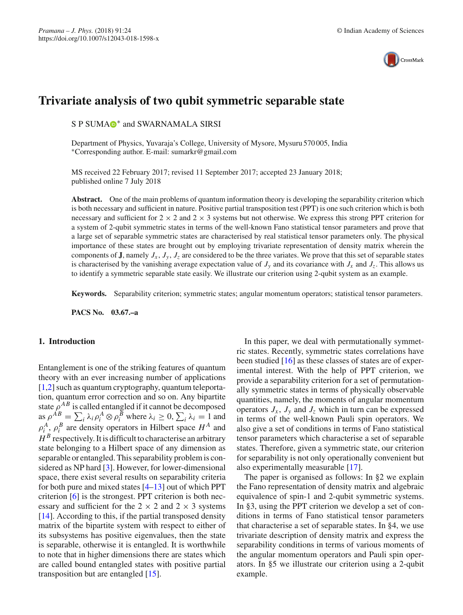

# **Trivariate analysis of two qubit symmetric separable state**

S P SUMA<sup>®\*</sup> and SWARNAMALA SIRSI

Department of Physics, Yuvaraja's College, University of Mysore, Mysuru 570 005, India ∗Corresponding author. E-mail: sumarkr@gmail.com

MS received 22 February 2017; revised 11 September 2017; accepted 23 January 2018; published online 7 July 2018

Abstract. One of the main problems of quantum information theory is developing the separability criterion which is both necessary and sufficient in nature. Positive partial transposition test (PPT) is one such criterion which is both necessary and sufficient for  $2 \times 2$  and  $2 \times 3$  systems but not otherwise. We express this strong PPT criterion for a system of 2-qubit symmetric states in terms of the well-known Fano statistical tensor parameters and prove that a large set of separable symmetric states are characterised by real statistical tensor parameters only. The physical importance of these states are brought out by employing trivariate representation of density matrix wherein the components of **J**, namely  $J_x$ ,  $J_y$ ,  $J_z$  are considered to be the three variates. We prove that this set of separable states is characterised by the vanishing average expectation value of  $J_y$  and its covariance with  $J_x$  and  $J_z$ . This allows us to identify a symmetric separable state easily. We illustrate our criterion using 2-qubit system as an example.

**Keywords.** Separability criterion; symmetric states; angular momentum operators; statistical tensor parameters.

**PACS No. 03.67.–a**

#### **1. Introduction**

Entanglement is one of the striking features of quantum theory with an ever increasing number of applications  $[1,2]$  $[1,2]$  such as quantum cryptography, quantum teleportation, quantum error correction and so on. Any bipartite state  $\rho^{AB}$  is called entangled if it cannot be decomposed as  $\rho^{AB} = \sum_i \lambda_i \rho_i^A \otimes \rho_i^B$  where  $\lambda_i \ge 0$ ,  $\sum_i \lambda_i = 1$  and  $\rho_i^A$ ,  $\rho_i^B$  are density operators in Hilbert space  $H^A$  and  $H^B$  respectively. It is difficult to characterise an arbitrary state belonging to a Hilbert space of any dimension as separable or entangled. This separability problem is considered as NP hard [\[3](#page-5-2)]. However, for lower-dimensional space, there exist several results on separability criteria for both pure and mixed states [\[4](#page-5-3)[–13](#page-5-4)] out of which PPT criterion [\[6\]](#page-5-5) is the strongest. PPT criterion is both necessary and sufficient for the  $2 \times 2$  and  $2 \times 3$  systems [\[14](#page-5-6)]. According to this, if the partial transposed density matrix of the bipartite system with respect to either of its subsystems has positive eigenvalues, then the state is separable, otherwise it is entangled. It is worthwhile to note that in higher dimensions there are states which are called bound entangled states with positive partial transposition but are entangled [\[15](#page-5-7)].

In this paper, we deal with permutationally symmetric states. Recently, symmetric states correlations have been studied [\[16](#page-5-8)] as these classes of states are of experimental interest. With the help of PPT criterion, we provide a separability criterion for a set of permutationally symmetric states in terms of physically observable quantities, namely, the moments of angular momentum operators  $J_x$ ,  $J_y$  and  $J_z$  which in turn can be expressed in terms of the well-known Pauli spin operators. We also give a set of conditions in terms of Fano statistical tensor parameters which characterise a set of separable states. Therefore, given a symmetric state, our criterion for separability is not only operationally convenient but also experimentally measurable [\[17\]](#page-5-9).

The paper is organised as follows: In §2 we explain the Fano representation of density matrix and algebraic equivalence of spin-1 and 2-qubit symmetric systems. In §3, using the PPT criterion we develop a set of conditions in terms of Fano statistical tensor parameters that characterise a set of separable states. In §4, we use trivariate description of density matrix and express the separability conditions in terms of various moments of the angular momentum operators and Pauli spin operators. In §5 we illustrate our criterion using a 2-qubit example.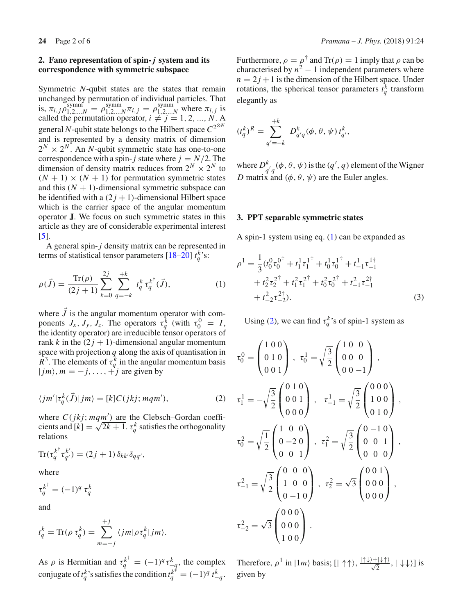### **2. Fano representation of spin-** *j* **system and its correspondence with symmetric subspace**

Symmetric *N*-qubit states are the states that remain unchanged by permutation of individual particles. That is,  $\pi_{i,j} \rho_{1,2...N}^{\text{symm}} = \rho_{1,2...N}^{\text{symm}} \pi_{i,j} = \rho_{1,2...N}^{\text{symm}}$  where  $\pi_{i,j}$  is called the permutation operator,  $i \neq j = 1, 2, ..., N$ . A general *N*-qubit state belongs to the Hilbert space *C*2⊗*<sup>N</sup>* and is represented by a density matrix of dimension  $2^N \times 2^N$ . An *N*-qubit symmetric state has one-to-one correspondence with a spin- $j$  state where  $j = N/2$ . The dimension of density matrix reduces from  $2^N \times 2^N$  to  $(N + 1) \times (N + 1)$  for permutation symmetric states and this  $(N + 1)$ -dimensional symmetric subspace can be identified with a  $(2j + 1)$ -dimensional Hilbert space which is the carrier space of the angular momentum operator **J**. We focus on such symmetric states in this article as they are of considerable experimental interest [\[5\]](#page-5-10).

A general spin-*j* density matrix can be represented in terms of statistical tensor parameters [\[18](#page-5-11)[–20\]](#page-5-12)  $t_q^k$ 's:

$$
\rho(\vec{J}) = \frac{\text{Tr}(\rho)}{(2j+1)} \sum_{k=0}^{2j} \sum_{q=-k}^{+k} t_q^k \tau_q^{k^\dagger}(\vec{J}), \tag{1}
$$

where  $J$  is the angular momentum operator with components  $J_x$ ,  $J_y$ ,  $J_z$ . The operators  $\tau_q^k$  (with  $\tau_0^0 = I$ , the identity operator) are irreducible tensor operators of rank *k* in the  $(2j + 1)$ -dimensional angular momentum space with projection *q* along the axis of quantisation in  $\overline{R}^3$ . The elements of  $\tau_q^k$  in the angular momentum basis  $|jm\rangle$ ,  $m = -j, \ldots, +j$  are given by

<span id="page-1-1"></span>
$$
\langle jm' | \tau_q^k(\vec{J}) | jm \rangle = [k] C(jkj; mqm'), \qquad (2)
$$

where  $C(jkj; mqm')$  are the Clebsch–Gordan coefficients and  $[k] = \sqrt{2k+1}$ .  $\tau_q^k$  satisfies the orthogonality relations

$$
\operatorname{Tr}(\tau_q^{k^{\dagger}} \tau_{q'}^{k'}) = (2j+1) \, \delta_{kk'} \delta_{qq'},
$$

where

 $\tau_q^{k^{\dagger}} = (-1)^q \tau_q^k$ 

and

$$
t_q^k = \text{Tr}(\rho \tau_q^k) = \sum_{m=-j}^{+j} \langle jm | \rho \tau_q^k | jm \rangle.
$$

As  $\rho$  is Hermitian and  $\tau_q^{k^{\dagger}} = (-1)^q \tau_{-q}^k$ , the complex conjugate of  $t_q^k$ 's satisfies the condition  $t_q^{k^*} = (-1)^q t_{-q}^k$ .

Furthermore,  $\rho = \rho^{\dagger}$  and  $\text{Tr}(\rho) = 1$  imply that  $\rho$  can be characterised by  $n^2 - 1$  independent parameters where  $n = 2j + 1$  is the dimension of the Hilbert space. Under rotations, the spherical tensor parameters  $t_q^k$  transform elegantly as

$$
(t_q^k)^R = \sum_{q'=-k}^{+k} D_{q'q}^k(\phi, \theta, \psi) t_{q'}^k,
$$

where  $D_{q\,q}^{k}(\phi,\theta,\psi)$  is the  $(q',q)$  element of the Wigner *D* matrix and  $(\phi, \theta, \psi)$  are the Euler angles.

### **3. PPT separable symmetric states**

A spin-1 system using eq. [\(1\)](#page-1-0) can be expanded as

<span id="page-1-0"></span>
$$
\rho^{1} = \frac{1}{3} (t_{0}^{0} \tau_{0}^{0^{\dagger}} + t_{1}^{1} \tau_{1}^{1^{\dagger}} + t_{0}^{1} \tau_{0}^{1^{\dagger}} + t_{-1}^{1} \tau_{-1}^{1^{\dagger}} + t_{2}^{2} \tau_{2}^{2^{\dagger}} + t_{1}^{2} \tau_{1}^{2^{\dagger}} + t_{0}^{2} \tau_{0}^{2^{\dagger}} + t_{-1}^{2} \tau_{-1}^{2^{\dagger}} + t_{-2}^{2} \tau_{-2}^{2^{\dagger}}).
$$
\n(3)

Using [\(2\)](#page-1-1), we can find  $\tau_q^k$ 's of spin-1 system as

$$
\tau_0^0 = \begin{pmatrix} 1 & 0 & 0 \\ 0 & 1 & 0 \\ 0 & 0 & 1 \end{pmatrix}, \quad \tau_0^1 = \sqrt{\frac{3}{2}} \begin{pmatrix} 1 & 0 & 0 \\ 0 & 0 & 0 \\ 0 & 0 & -1 \end{pmatrix},
$$
  
\n
$$
\tau_1^1 = -\sqrt{\frac{3}{2}} \begin{pmatrix} 0 & 1 & 0 \\ 0 & 0 & 1 \\ 0 & 0 & 0 \end{pmatrix}, \quad \tau_{-1}^1 = \sqrt{\frac{3}{2}} \begin{pmatrix} 0 & 0 & 0 \\ 1 & 0 & 0 \\ 0 & 1 & 0 \end{pmatrix},
$$
  
\n
$$
\tau_0^2 = \sqrt{\frac{1}{2}} \begin{pmatrix} 1 & 0 & 0 \\ 0 & -2 & 0 \\ 0 & 0 & 1 \end{pmatrix}, \quad \tau_1^2 = \sqrt{\frac{3}{2}} \begin{pmatrix} 0 & -1 & 0 \\ 0 & 0 & 1 \\ 0 & 0 & 0 \end{pmatrix},
$$
  
\n
$$
\tau_{-1}^2 = \sqrt{\frac{3}{2}} \begin{pmatrix} 0 & 0 & 0 \\ 1 & 0 & 0 \\ 0 & -1 & 0 \end{pmatrix}, \quad \tau_2^2 = \sqrt{3} \begin{pmatrix} 0 & 0 & 1 \\ 0 & 0 & 0 \\ 0 & 0 & 0 \end{pmatrix},
$$
  
\n
$$
\tau_{-2}^2 = \sqrt{3} \begin{pmatrix} 0 & 0 & 0 \\ 0 & 0 & 0 \\ 1 & 0 & 0 \end{pmatrix}.
$$

Therefore,  $\rho^1$  in  $|1m\rangle$  basis;  $[|\uparrow \uparrow \rangle, \frac{|\uparrow \downarrow \rangle + |\downarrow \uparrow \rangle}{\sqrt{2}}, |\downarrow \downarrow \rangle]$  is given by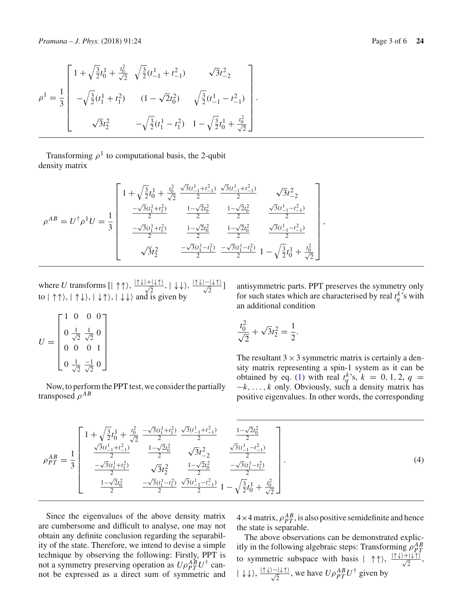$$
\rho^{1} = \frac{1}{3} \begin{bmatrix} 1 + \sqrt{\frac{3}{2}}t_{0}^{1} + \frac{t_{0}^{2}}{\sqrt{2}} & \sqrt{\frac{3}{2}}(t_{-1}^{1} + t_{-1}^{2}) & \sqrt{3}t_{-2}^{2} \\ -\sqrt{\frac{3}{2}}(t_{1}^{1} + t_{1}^{2}) & (1 - \sqrt{2}t_{0}^{2}) & \sqrt{\frac{3}{2}}(t_{-1}^{1} - t_{-1}^{2}) \\ \sqrt{3}t_{2}^{2} & -\sqrt{\frac{3}{2}}(t_{1}^{1} - t_{1}^{2}) & 1 - \sqrt{\frac{3}{2}}t_{0}^{1} + \frac{t_{0}^{2}}{\sqrt{2}} \end{bmatrix}
$$

Transforming  $\rho^1$  to computational basis, the 2-qubit density matrix

$$
\rho^{AB} = U^{\dagger} \rho^{1} U = \frac{1}{3} \begin{bmatrix} 1 + \sqrt{\frac{3}{2}} t_{0}^{1} + \frac{t_{0}^{2}}{\sqrt{2}} & \frac{\sqrt{3}(t_{-1}^{1} + t_{-1}^{2})}{2} & \frac{\sqrt{3}(t_{-1}^{1} + t_{-1}^{2})}{2} & \sqrt{3}t_{-2}^{2} \\ \frac{-\sqrt{3}(t_{1}^{1} + t_{1}^{2})}{2} & \frac{1 - \sqrt{2}t_{0}^{2}}{2} & \frac{1 - \sqrt{2}t_{0}^{2}}{2} & \frac{\sqrt{3}(t_{-1}^{1} - t_{-1}^{2})}{2} \\ \frac{-\sqrt{3}(t_{1}^{1} + t_{1}^{2})}{2} & \frac{1 - \sqrt{2}t_{0}^{2}}{2} & \frac{1 - \sqrt{2}t_{0}^{2}}{2} & \frac{\sqrt{3}(t_{-1}^{1} - t_{-1}^{2})}{2} \\ \sqrt{3}t_{2}^{2} & \frac{-\sqrt{3}(t_{1}^{1} - t_{1}^{2})}{2} & \frac{-\sqrt{3}(t_{1}^{1} - t_{1}^{2})}{2} & 1 - \sqrt{\frac{3}{2}}t_{0}^{1} + \frac{t_{0}^{2}}{\sqrt{2}} \end{bmatrix},
$$

where *U* transforms  $[\vert \uparrow \uparrow \rangle, \frac{\vert \uparrow \downarrow \rangle + \vert \downarrow \uparrow \rangle}{\sqrt{2}}, \vert \downarrow \downarrow \rangle, \frac{\vert \uparrow \downarrow \rangle - \vert \downarrow \uparrow \rangle}{\sqrt{2}}]$ to  $| \uparrow \uparrow \rangle$ ,  $| \uparrow \downarrow \rangle$ ,  $| \downarrow \uparrow \rangle$ ,  $| \downarrow \downarrow \rangle$  and is given by

$$
U = \begin{bmatrix} 1 & 0 & 0 & 0 \\ 0 & \frac{1}{\sqrt{2}} & \frac{1}{\sqrt{2}} & 0 \\ 0 & 0 & 0 & 1 \\ 0 & \frac{1}{\sqrt{2}} & \frac{-1}{\sqrt{2}} & 0 \end{bmatrix}
$$

Now, to perform the PPT test, we consider the partially transposed  $\rho^{AB}$ 

antisymmetric parts. PPT preserves the symmetry only for such states which are characterised by real  $t_q^k$ 's with an additional condition

$$
\frac{t_0^2}{\sqrt{2}} + \sqrt{3}t_2^2 = \frac{1}{2}.
$$

.

The resultant  $3 \times 3$  symmetric matrix is certainly a density matrix representing a spin-1 system as it can be obtained by eq. [\(1\)](#page-1-0) with real  $t_q^k$ 's,  $k = 0, 1, 2, q$  = −*k*,..., *k* only. Obviously, such a density matrix has positive eigenvalues. In other words, the corresponding

$$
\rho_{PT}^{AB} = \frac{1}{3} \begin{bmatrix}\n1 + \sqrt{\frac{3}{2}}t_0^1 + \frac{t_0^2}{\sqrt{2}} & \frac{-\sqrt{3}(t_1^1 + t_1^2)}{2} & \frac{\sqrt{3}(t_{-1}^1 + t_{-1}^2)}{2} & \frac{1 - \sqrt{2}t_0^2}{2} \\
\frac{\sqrt{3}(t_{-1}^1 + t_{-1}^2)}{2} & \frac{1 - \sqrt{2}t_0^2}{2} & \sqrt{3}t_{-2}^2 & \frac{\sqrt{3}(t_{-1}^1 - t_{-1}^2)}{2} \\
\frac{-\sqrt{3}(t_1^1 + t_1^2)}{2} & \sqrt{3}t_2^2 & \frac{1 - \sqrt{2}t_0^2}{2} & \frac{-\sqrt{3}(t_1^1 - t_1^2)}{2} \\
\frac{1 - \sqrt{2}t_0^2}{2} & \frac{-\sqrt{3}(t_1^1 - t_1^2)}{2} & \frac{\sqrt{3}(t_{-1}^1 - t_{-1}^2)}{2} & 1 - \sqrt{\frac{3}{2}}t_0^1 + \frac{t_0^2}{\sqrt{2}}\n\end{bmatrix}.
$$
\n(4)

Since the eigenvalues of the above density matrix are cumbersome and difficult to analyse, one may not obtain any definite conclusion regarding the separability of the state. Therefore, we intend to devise a simple technique by observing the following: Firstly, PPT is not a symmetry preserving operation as  $U\rho_{PT}^{AB}U^{\dagger}$  cannot be expressed as a direct sum of symmetric and

 $4 \times 4$  matrix,  $\rho_{PT}^{AB}$ , is also positive semidefinite and hence the state is separable.

The above observations can be demonstrated explicitly in the following algebraic steps: Transforming  $\rho_{PT}^{AB}$ to symmetric subspace with basis  $|\uparrow \uparrow \rangle$ ,  $\frac{|\uparrow \downarrow \rangle + |\downarrow \uparrow \rangle}{\sqrt{2}}$ ,  $|\downarrow\downarrow\rangle$ ,  $\frac{|\uparrow\downarrow\rangle-|\downarrow\uparrow\rangle}{\sqrt{2}}$ , we have  $U\rho_{PT}^{AB}U^{\dagger}$  given by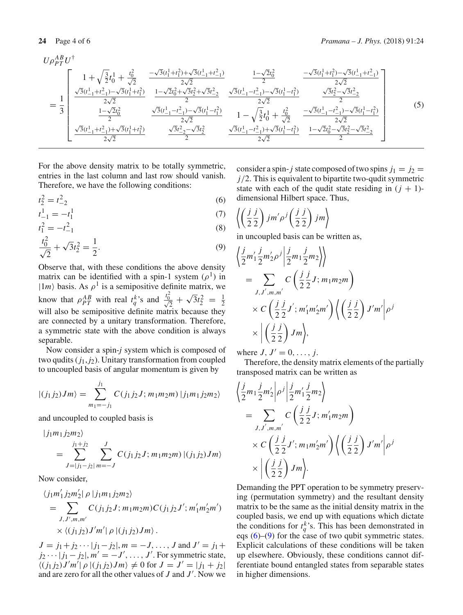$$
U\rho_{PT}^{AB}U^{\dagger}
$$
\n
$$
= \frac{1}{3} \begin{bmatrix}\n1 + \sqrt{\frac{3}{2}}t_0^1 + \frac{t_0^2}{\sqrt{2}} & \frac{-\sqrt{3}(t_1^1 + t_1^2) + \sqrt{3}(t_{-1}^1 + t_{-1}^2)}{2\sqrt{2}} & \frac{1 - \sqrt{2}t_0^2}{2} & \frac{-\sqrt{3}(t_1^1 + t_1^2) - \sqrt{3}(t_{-1}^1 + t_{-1}^2)}{2\sqrt{2}} \\
\frac{\sqrt{3}(t_{-1}^1 + t_{-1}^2) - \sqrt{3}(t_1^1 + t_1^2)}{2\sqrt{2}} & \frac{1 - \sqrt{2}t_0^2 + \sqrt{3}t_2^2 + \sqrt{3}t_{-2}^2}{2} & \frac{\sqrt{3}(t_{-1}^1 - t_{-1}^2) - \sqrt{3}(t_1^1 - t_1^2)}{2\sqrt{2}} & \frac{\sqrt{3}t_2^2 - \sqrt{3}t_{-2}^2}{2} \\
\frac{1 - \sqrt{2}t_0^2}{2} & \frac{\sqrt{3}(t_{-1}^1 - t_{-1}^2) - \sqrt{3}(t_1^1 - t_1^2)}{2\sqrt{2}} & 1 - \sqrt{\frac{3}{2}}t_0^1 + \frac{t_0^2}{\sqrt{2}} & \frac{-\sqrt{3}(t_{-1}^1 - t_{-1}^2) - \sqrt{3}(t_1^1 - t_1^2)}{2\sqrt{2}} \\
\frac{\sqrt{3}(t_{-1}^1 + t_{-1}^2) + \sqrt{3}(t_1^1 + t_1^2)}{2\sqrt{2}} & \frac{\sqrt{3}t_{-2}^2 - \sqrt{3}t_2^2}{2} & \frac{\sqrt{3}(t_{-1}^1 - t_{-1}^2) + \sqrt{3}(t_1^1 - t_1^2)}{2\sqrt{2}} & \frac{1 - \sqrt{2}t_0^2 - \sqrt{3}t_2^2 - \sqrt{3}t_2^2}{2}\n\end{bmatrix}
$$
\n(5)

For the above density matrix to be totally symmetric, entries in the last column and last row should vanish. Therefore, we have the following conditions:

<span id="page-3-0"></span>
$$
t_2^2 = t_{-2}^2 \tag{6}
$$

$$
t_{-1}^{1} = -t_{1}^{1}
$$
 (7)  

$$
t_{-1}^{2} = -t_{1}^{2}
$$
 (8)

$$
t_1^2 = -t_{-1}^2
$$
 (8)  

$$
\frac{t_0^2}{(2)} + \sqrt{3}t^2 - \frac{1}{4}
$$
 (9)

$$
\frac{t_0^2}{\sqrt{2}} + \sqrt{3}t_2^2 = \frac{1}{2}.
$$
\n(9)

Observe that, with these conditions the above density matrix can be identified with a spin-1 system  $(\rho^1)$  in  $|1m\rangle$  basis. As  $\rho^1$  is a semipositive definite matrix, we know that  $\rho_{PT}^{AB}$  with real  $t_q^{k}$ 's and  $\frac{t_0^2}{\sqrt{2}} + \sqrt{3}t_2^2 = \frac{1}{2}$ will also be semipositive definite matrix because they are connected by a unitary transformation. Therefore, a symmetric state with the above condition is always separable.

Now consider a spin-*j* system which is composed of two qudits  $(j_1, j_2)$ . Unitary transformation from coupled to uncoupled basis of angular momentum is given by

$$
|(j_1 j_2) Jm\rangle = \sum_{m_1=-j_1}^{j_1} C(j_1 j_2 J; m_1 m_2 m) |j_1 m_1 j_2 m_2\rangle
$$

and uncoupled to coupled basis is

$$
\begin{aligned} |j_1m_1j_2m_2\rangle\\ &= \sum_{J=|j_1-j_2|}^{j_1+j_2} \sum_{m=-J}^{J} C(j_1j_2J; m_1m_2m) |(j_1j_2)Jm\rangle \end{aligned}
$$

Now consider,

$$
\langle j_1 m'_1 j_2 m'_2 | \rho | j_1 m_1 j_2 m_2 \rangle
$$
  
= 
$$
\sum_{J,J',m,m'} C(j_1 j_2 J; m_1 m_2 m) C(j_1 j_2 J'; m'_1 m'_2 m')
$$
  
× 
$$
\langle (j_1 j_2) J' m' | \rho | (j_1 j_2) J m \rangle
$$
.

 $J = j_1 + j_2 \cdots |j_1 - j_2|$ ,  $m = -J, \ldots, J$  and  $J' = j_1 +$  $j_2 \cdots |j_1 - j_2|$ ,  $m' = -J'$ , ..., *J'*. For symmetric state,  $\langle (j_1 j_2) J'm' | \rho | (j_1 j_2) Jm \rangle \neq 0$  for  $J = J' = |j_1 + j_2|$ and are zero for all the other values of  $J$  and  $J'$ . Now we consider a spin- *j* state composed of two spins  $j_1 = j_2$ *j*/2. This is equivalent to bipartite two-qudit symmetric state with each of the qudit state residing in  $(j + 1)$ dimensional Hilbert space. Thus,

$$
\left\langle \left(\frac{j}{2}\frac{j}{2}\right)jm'\rho^{j}\left(\frac{j}{2}\frac{j}{2}\right)jm\right\rangle
$$

in uncoupled basis can be written as,

$$
\left\langle \frac{j}{2} m_1' \frac{j}{2} m_2' \rho^j \middle| \frac{j}{2} m_1 \frac{j}{2} m_2 \right\rangle \right\rangle
$$
  
= 
$$
\sum_{J, J', m, m'} C \left( \frac{j}{2} \frac{j}{2} J; m_1 m_2 m \right)
$$
  
× 
$$
C \left( \frac{j}{2} \frac{j}{2} J'; m_1' m_2' m' \right) \left\langle \left( \frac{j}{2} \frac{j}{2} \right) J' m' \middle| \rho^j \right\rangle
$$
  
× 
$$
\left| \left( \frac{j}{2} \frac{j}{2} \right) J m \right\rangle,
$$

where  $J, J' = 0, \ldots, j$ .

Therefore, the density matrix elements of the partially transposed matrix can be written as

$$
\left\langle \frac{j}{2}m_1 \frac{j}{2}m'_2 \middle| \rho^j \middle| \frac{j}{2}m'_1 \frac{j}{2}m_2 \right\rangle
$$
  
= 
$$
\sum_{J,J',m,m'} C\left(\frac{j}{2}\frac{j}{2}J; m'_1 m_2 m\right)
$$
  

$$
\times C\left(\frac{j}{2}\frac{j}{2}J'; m_1 m'_2 m'\right) \left\langle \left(\frac{j}{2}\frac{j}{2}\right)J'm' \middle| \rho^j \right\rangle
$$
  

$$
\times \left| \left(\frac{j}{2}\frac{j}{2}\right)Jm \right\rangle.
$$

Demanding the PPT operation to be symmetry preserving (permutation symmetry) and the resultant density matrix to be the same as the initial density matrix in the coupled basis, we end up with equations which dictate the conditions for  $t_q^k$ 's. This has been demonstrated in eqs  $(6)$ – $(9)$  for the case of two qubit symmetric states. Explicit calculations of these conditions will be taken up elsewhere. Obviously, these conditions cannot differentiate bound entangled states from separable states in higher dimensions.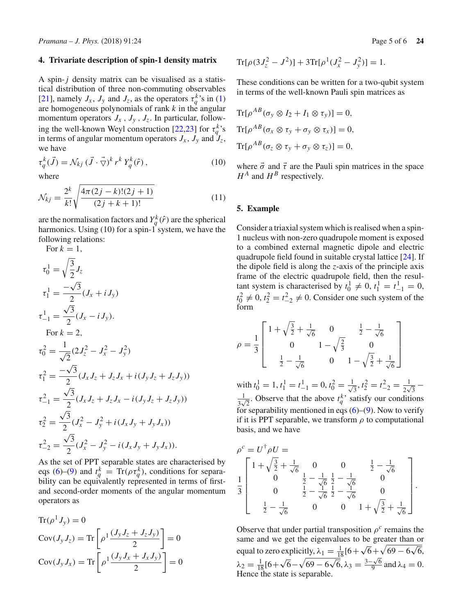#### **4. Trivariate description of spin-1 density matrix**

A spin-*j* density matrix can be visualised as a statistical distribution of three non-commuting observables [\[21](#page-5-13)], namely  $J_x$ ,  $J_y$  and  $J_z$ , as the operators  $\tau_q^k$ 's in [\(1\)](#page-1-0) are homogeneous polynomials of rank *k* in the angular momentum operators  $J_x$ ,  $J_y$ ,  $J_z$ . In particular, follow-ing the well-known Weyl construction [\[22](#page-5-14)[,23\]](#page-5-15) for  $\tau_q^k$ 's in terms of angular momentum operators  $J_x$ ,  $J_y$  and  $J_z$ , we have

$$
\tau_q^k(\vec{J}) = \mathcal{N}_{kj} (\vec{J} \cdot \vec{\nabla})^k r^k Y_q^k(\hat{r}), \qquad (10)
$$

where

$$
\mathcal{N}_{kj} = \frac{2^k}{k!} \sqrt{\frac{4\pi(2j-k)!(2j+1)}{(2j+k+1)!}}
$$
(11)

are the normalisation factors and  $Y_q^k(\hat{r})$  are the spherical harmonics. Using (10) for a spin-1 system, we have the following relations:

For 
$$
k = 1
$$
,  
\n
$$
\tau_0^1 = \sqrt{\frac{3}{2}} J_z
$$
\n
$$
\tau_1^1 = \frac{-\sqrt{3}}{2} (J_x + iJ_y)
$$
\n
$$
\tau_{-1}^1 = \frac{\sqrt{3}}{2} (J_x - iJ_y).
$$
\nFor  $k = 2$ ,  
\n
$$
\tau_0^2 = \frac{1}{\sqrt{2}} (2J_z^2 - J_x^2 - J_y^2)
$$
\n
$$
\tau_1^2 = \frac{-\sqrt{3}}{2} (J_x J_z + J_z J_x + i (J_y J_z + J_z J_y))
$$
\n
$$
\tau_{-1}^2 = \frac{\sqrt{3}}{2} (J_x J_z + J_z J_x - i (J_y J_z + J_z J_y))
$$
\n
$$
\tau_2^2 = \frac{\sqrt{3}}{2} (J_x^2 - J_y^2 + i (J_x J_y + J_y J_x))
$$
\n
$$
\tau_{-2}^2 = \frac{\sqrt{3}}{2} (J_x^2 - J_y^2 - i (J_x J_y + J_y J_x)).
$$

As the set of PPT separable states are characterised by eqs [\(6\)](#page-3-0)–[\(9\)](#page-3-0) and  $t_q^k = \text{Tr}(\rho \tau_q^k)$ , conditions for separability can be equivalently represented in terms of firstand second-order moments of the angular momentum operators as

$$
\operatorname{Tr}(\rho^1 J_y) = 0
$$
  
\n
$$
\operatorname{Cov}(J_y J_z) = \operatorname{Tr}\left[\rho^1 \frac{(J_y J_z + J_z J_y)}{2}\right] = 0
$$
  
\n
$$
\operatorname{Cov}(J_y J_x) = \operatorname{Tr}\left[\rho^1 \frac{(J_y J_x + J_x J_y)}{2}\right] = 0
$$

$$
Tr[\rho(3J_z^2 - J^2)] + 3Tr[\rho^1(J_x^2 - J_y^2)] = 1.
$$

These conditions can be written for a two-qubit system in terms of the well-known Pauli spin matrices as

$$
\text{Tr}[\rho^{AB}(\sigma_y \otimes I_2 + I_1 \otimes \tau_y)] = 0,
$$
  
\n
$$
\text{Tr}[\rho^{AB}(\sigma_x \otimes \tau_y + \sigma_y \otimes \tau_x)] = 0,
$$
  
\n
$$
\text{Tr}[\rho^{AB}(\sigma_z \otimes \tau_y + \sigma_y \otimes \tau_z)] = 0,
$$

where  $\vec{\sigma}$  and  $\vec{\tau}$  are the Pauli spin matrices in the space  $H^A$  and  $H^B$  respectively.

#### **5. Example**

Consider a triaxial system which is realised when a spin-1 nucleus with non-zero quadrupole moment is exposed to a combined external magnetic dipole and electric quadrupole field found in suitable crystal lattice [\[24](#page-5-16)]. If the dipole field is along the *z*-axis of the principle axis frame of the electric quadrupole field, then the resultant system is characterised by  $t_0^1 \neq 0$ ,  $t_1^1 = t_{-1}^1 = 0$ ,  $t_0^2 \neq 0$ ,  $t_2^2 = t_{-2}^2 \neq 0$ . Consider one such system of the form

$$
\rho = \frac{1}{3} \begin{bmatrix} 1 + \sqrt{\frac{3}{2}} + \frac{1}{\sqrt{6}} & 0 & \frac{1}{2} - \frac{1}{\sqrt{6}} \\ 0 & 1 - \sqrt{\frac{2}{3}} & 0 \\ \frac{1}{2} - \frac{1}{\sqrt{6}} & 0 & 1 - \sqrt{\frac{3}{2}} + \frac{1}{\sqrt{6}} \end{bmatrix}
$$

with  $t_0^1 = 1, t_1^1 = t_{-1}^1 = 0, t_0^2 = \frac{1}{\sqrt{2}}$  $t_0^1 = 1, t_1^1 = t_{-1}^1 = 0, t_0^2 = \frac{1}{\sqrt{3}}, t_2^2 = t_{-2}^2 = \frac{1}{2\sqrt{3}} -$ <br>
<u>1</u> Observe that the above  $t^k$ , satisfy our conditions  $\frac{1}{3\sqrt{2}}$ . Observe that the above  $t_q^k$  satisfy our conditions for separability mentioned in eqs  $(6)$ – $(9)$ . Now to verify if it is PPT separable, we transform  $\rho$  to computational basis, and we have

$$
\rho^{c} = U^{\dagger} \rho U =
$$
\n
$$
\frac{1}{3} \begin{bmatrix}\n1 + \sqrt{\frac{3}{2}} + \frac{1}{\sqrt{6}} & 0 & 0 & \frac{1}{2} - \frac{1}{\sqrt{6}} \\
0 & \frac{1}{2} - \frac{1}{\sqrt{6}} & \frac{1}{2} - \frac{1}{\sqrt{6}} & 0 \\
0 & \frac{1}{2} - \frac{1}{\sqrt{6}} & \frac{1}{2} - \frac{1}{\sqrt{6}} & 0 \\
\frac{1}{2} - \frac{1}{\sqrt{6}} & 0 & 0 & 1 + \sqrt{\frac{3}{2}} + \frac{1}{\sqrt{6}}\n\end{bmatrix}.
$$

Observe that under partial transposition  $\rho^c$  remains the same and we get the eigenvalues to be greater than or equal to zero explicitly,  $\lambda_1 = \frac{1}{18} [6 + \sqrt{6} + \sqrt{69 - 6\sqrt{6}}]$  $\lambda_2 = \frac{1}{18} [6 + \sqrt{6} - \sqrt{69 - 6\sqrt{6}}, \lambda_3 = \frac{3 - \sqrt{6}}{9} \text{ and } \lambda_4 = 0.$ Hence the state is separable.